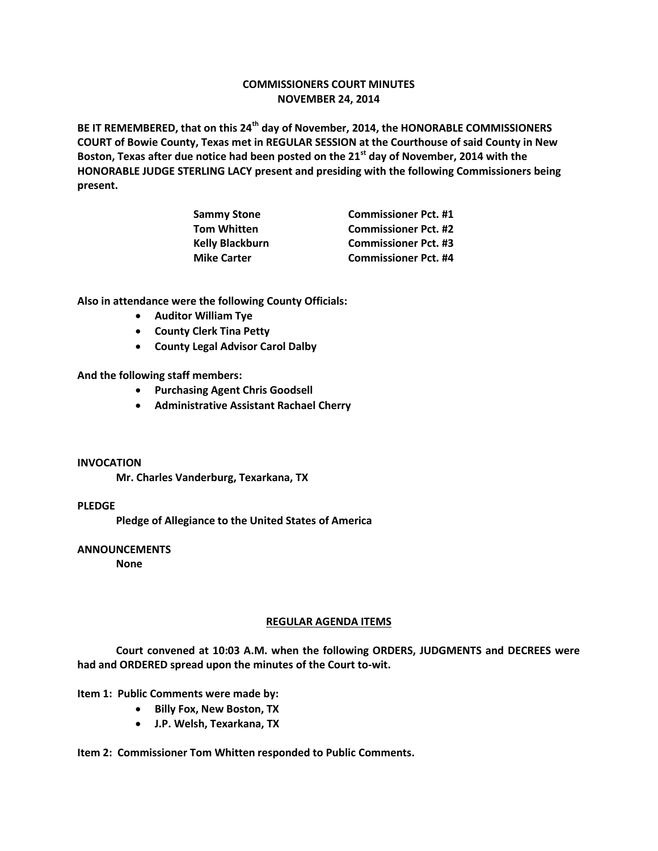### **COMMISSIONERS COURT MINUTES NOVEMBER 24, 2014**

**BE IT REMEMBERED, that on this 24th day of November, 2014, the HONORABLE COMMISSIONERS COURT of Bowie County, Texas met in REGULAR SESSION at the Courthouse of said County in New Boston, Texas after due notice had been posted on the 21st day of November, 2014 with the HONORABLE JUDGE STERLING LACY present and presiding with the following Commissioners being present.**

| <b>Commissioner Pct. #1</b> |
|-----------------------------|
| <b>Commissioner Pct. #2</b> |
| <b>Commissioner Pct. #3</b> |
| <b>Commissioner Pct. #4</b> |
|                             |

**Also in attendance were the following County Officials:** 

- **Auditor William Tye**
- **•** County Clerk Tina Petty
- **County Legal Advisor Carol Dalby**

**And the following staff members:**

- **Purchasing Agent Chris Goodsell**
- **Administrative Assistant Rachael Cherry**

#### **INVOCATION**

**Mr. Charles Vanderburg, Texarkana, TX**

#### **PLEDGE**

**Pledge of Allegiance to the United States of America**

#### **ANNOUNCEMENTS**

**None**

#### **REGULAR AGENDA ITEMS**

**Court convened at 10:03 A.M. when the following ORDERS, JUDGMENTS and DECREES were had and ORDERED spread upon the minutes of the Court to-wit.**

#### **Item 1: Public Comments were made by:**

- **•** Billy Fox, New Boston, TX
- **J.P. Welsh, Texarkana, TX**

**Item 2: Commissioner Tom Whitten responded to Public Comments.**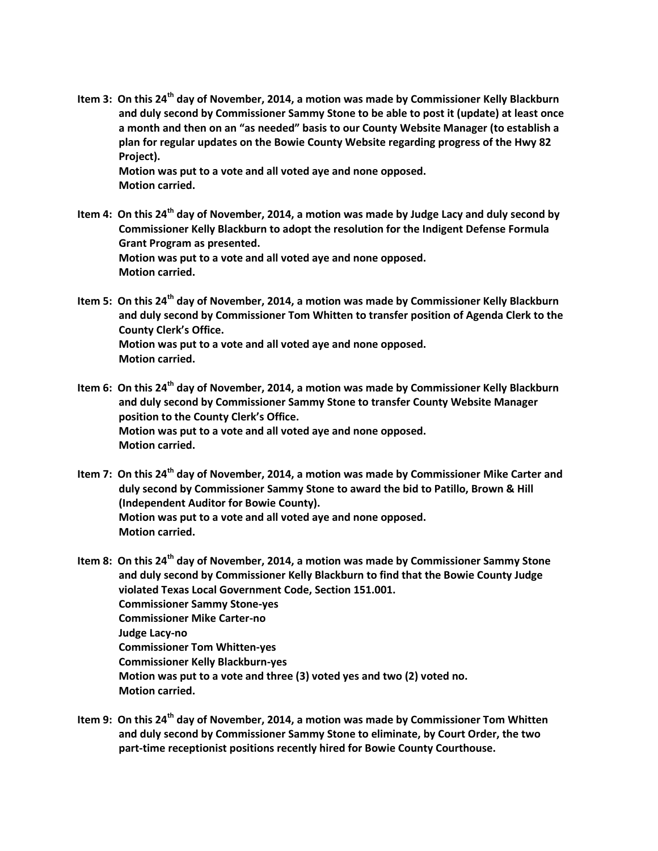**Item 3: On this 24th day of November, 2014, a motion was made by Commissioner Kelly Blackburn and duly second by Commissioner Sammy Stone to be able to post it (update) at least once a month and then on an "as needed" basis to our County Website Manager (to establish a plan for regular updates on the Bowie County Website regarding progress of the Hwy 82 Project).**

**Motion was put to a vote and all voted aye and none opposed. Motion carried.**

- **Item 4: On this 24th day of November, 2014, a motion was made by Judge Lacy and duly second by Commissioner Kelly Blackburn to adopt the resolution for the Indigent Defense Formula Grant Program as presented. Motion was put to a vote and all voted aye and none opposed. Motion carried.**
- **Item 5: On this 24th day of November, 2014, a motion was made by Commissioner Kelly Blackburn and duly second by Commissioner Tom Whitten to transfer position of Agenda Clerk to the County Clerk's Office. Motion was put to a vote and all voted aye and none opposed. Motion carried.**
- **Item 6: On this 24th day of November, 2014, a motion was made by Commissioner Kelly Blackburn and duly second by Commissioner Sammy Stone to transfer County Website Manager position to the County Clerk's Office. Motion was put to a vote and all voted aye and none opposed. Motion carried.**
- **Item 7: On this 24th day of November, 2014, a motion was made by Commissioner Mike Carter and duly second by Commissioner Sammy Stone to award the bid to Patillo, Brown & Hill (Independent Auditor for Bowie County). Motion was put to a vote and all voted aye and none opposed. Motion carried.**

**Item 8: On this 24th day of November, 2014, a motion was made by Commissioner Sammy Stone and duly second by Commissioner Kelly Blackburn to find that the Bowie County Judge violated Texas Local Government Code, Section 151.001. Commissioner Sammy Stone-yes Commissioner Mike Carter-no Judge Lacy-no Commissioner Tom Whitten-yes Commissioner Kelly Blackburn-yes Motion was put to a vote and three (3) voted yes and two (2) voted no. Motion carried.**

**Item 9: On this 24th day of November, 2014, a motion was made by Commissioner Tom Whitten and duly second by Commissioner Sammy Stone to eliminate, by Court Order, the two part-time receptionist positions recently hired for Bowie County Courthouse.**